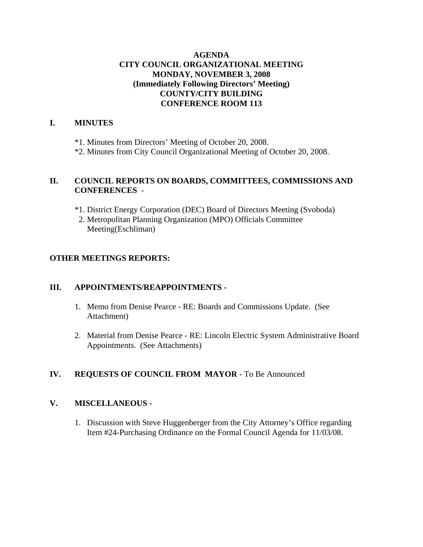### **AGENDA CITY COUNCIL ORGANIZATIONAL MEETING MONDAY, NOVEMBER 3, 2008 (Immediately Following Directors' Meeting) COUNTY/CITY BUILDING CONFERENCE ROOM 113**

### **I. MINUTES**

\*1. Minutes from Directors' Meeting of October 20, 2008.

\*2. Minutes from City Council Organizational Meeting of October 20, 2008.

### **II. COUNCIL REPORTS ON BOARDS, COMMITTEES, COMMISSIONS AND CONFERENCES** -

- \*1. District Energy Corporation (DEC) Board of Directors Meeting (Svoboda)
- 2. Metropolitan Planning Organization (MPO) Officials Committee Meeting(Eschliman)

### **OTHER MEETINGS REPORTS:**

### **III. APPOINTMENTS/REAPPOINTMENTS -**

- 1. Memo from Denise Pearce RE: Boards and Commissions Update. (See Attachment)
- 2. Material from Denise Pearce RE: Lincoln Electric System Administrative Board Appointments. (See Attachments)

### **IV. REQUESTS OF COUNCIL FROM MAYOR -** To Be Announced

### **V. MISCELLANEOUS -**

1. Discussion with Steve Huggenberger from the City Attorney's Office regarding Item #24-Purchasing Ordinance on the Formal Council Agenda for 11/03/08.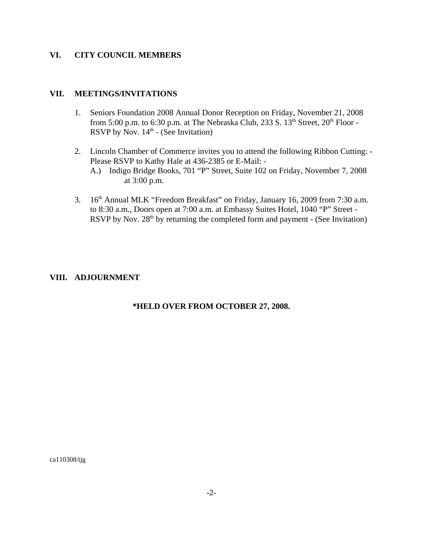### **VI. CITY COUNCIL MEMBERS**

### **VII. MEETINGS/INVITATIONS**

- 1. Seniors Foundation 2008 Annual Donor Reception on Friday, November 21, 2008 from 5:00 p.m. to 6:30 p.m. at The Nebraska Club, 233 S.  $13<sup>th</sup>$  Street,  $20<sup>th</sup>$  Floor -RSVP by Nov.  $14<sup>th</sup>$  - (See Invitation)
- 2. Lincoln Chamber of Commerce invites you to attend the following Ribbon Cutting: Please RSVP to Kathy Hale at 436-2385 or E-Mail: -
	- A.) Indigo Bridge Books, 701 "P" Street, Suite 102 on Friday, November 7, 2008 at 3:00 p.m.
- 3. 16th Annual MLK "Freedom Breakfast" on Friday, January 16, 2009 from 7:30 a.m. to 8:30 a.m., Doors open at 7:00 a.m. at Embassy Suites Hotel, 1040 "P" Street - RSVP by Nov.  $28<sup>th</sup>$  by returning the completed form and payment - (See Invitation)

### **VIII. ADJOURNMENT**

### **\*HELD OVER FROM OCTOBER 27, 2008.**

ca110308/tjg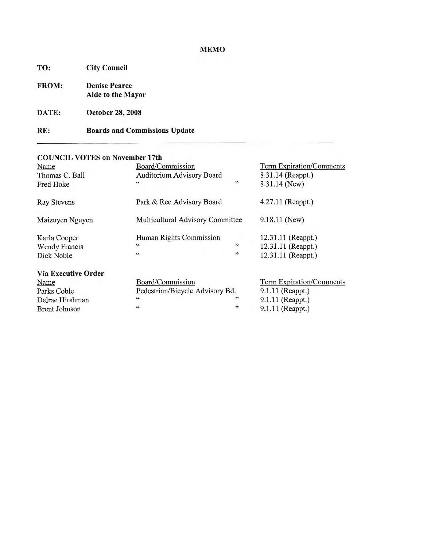### **MEMO**

| TO:   | <b>City Council</b>                              |  |  |
|-------|--------------------------------------------------|--|--|
| FROM: | <b>Denise Pearce</b><br><b>Aide to the Mayor</b> |  |  |
|       |                                                  |  |  |

**October 28, 2008** DATE:

#### **Boards and Commissions Update** RE:

### **COUNCIL VOTES on November 17th**

| Name                       | Board/Commission                 |                     | Term Expiration/Comments |  |
|----------------------------|----------------------------------|---------------------|--------------------------|--|
| Thomas C. Ball             | Auditorium Advisory Board        | 8.31.14 (Reappt.)   |                          |  |
| Fred Hoke                  | $\,$ 6 $\,$                      | ,                   | 8.31.14 (New)            |  |
| <b>Ray Stevens</b>         | Park & Rec Advisory Board        | $4.27.11$ (Reappt.) |                          |  |
| Maizuyen Nguyen            | Multicultural Advisory Committee | $9.18.11$ (New)     |                          |  |
| Karla Cooper               | Human Rights Commission          |                     | 12.31.11 (Reappt.)       |  |
| <b>Wendy Francis</b>       | $\zeta\zeta$                     | $\rightarrow$       | 12.31.11 (Reappt.)       |  |
| Dick Noble                 | $\epsilon$                       | ,                   | 12.31.11 (Reappt.)       |  |
| <b>Via Executive Order</b> |                                  |                     |                          |  |
| Name                       | Board/Commission                 |                     | Term Expiration/Comments |  |
| Parks Coble                | Pedestrian/Bicycle Advisory Bd.  |                     | 9.1.11 (Reappt.)         |  |
| Delrae Hirshman            | $\sqrt{6}$                       | "                   | 9.1.11 (Reappt.)         |  |
| <b>Brent Johnson</b>       | $\mathbf{c}\,\mathbf{c}$         | , 1                 | 9.1.11 (Reappt.)         |  |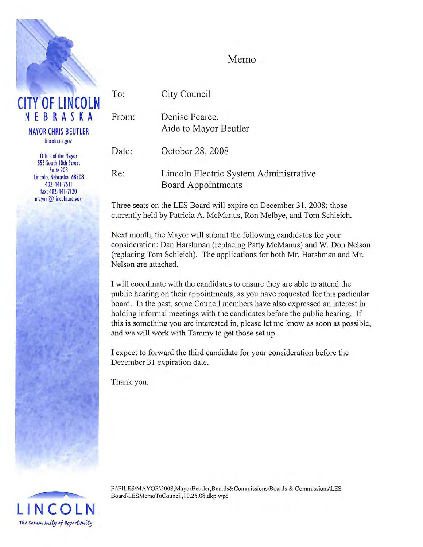

## Memo

To: **CITY OF LINCOLN** NEBRASKA From: **MAYOR CHRIS BEUTLER** lincoln.ne.gov Date: **Office of the Mayor** 555 South 10th Street Suite 208  $Re:$ Lincoln, Nebraska 68508 402-441-7511 fax: 402-441-7120 mayor@lincoln.ne.gov

City Council

Denise Pearce, Aide to Mayor Beutler

October 28, 2008

Lincoln Electric System Administrative Board Appointments

Three seats on the LES Board will expire on December 31, 2008: those currently held by Patricia A. McManus, Ron Melbye, and Tom Schleich.

Next month, the Mayor will submit the following candidates for your consideration: Dan Harshman (replacing Patty McManus) and W. Don Nelson (replacing Tom Schleich). The applications for both Mr. Harshman and Mr. Nelson are attached.

I will coordinate with the candidates to ensure they are able to attend the public hearing on their appointments, as you have requested for this particular board. In the past, some Council members have also expressed an interest in holding informal meetings with the candidates before the public hearing. If this is something you are interested in, please let me know as soon as possible, and we will work with Tammy to get those set up.

I expect to forward the third candidate for your consideration before the December 31 expiration date.

Thank you.



F:\FILES\MAYOR\2008,MayorBeutler,Boards&Commissions\Boards & Commissions\LES Board\LESMemoToCouncil,10.26.08,dkp.wpd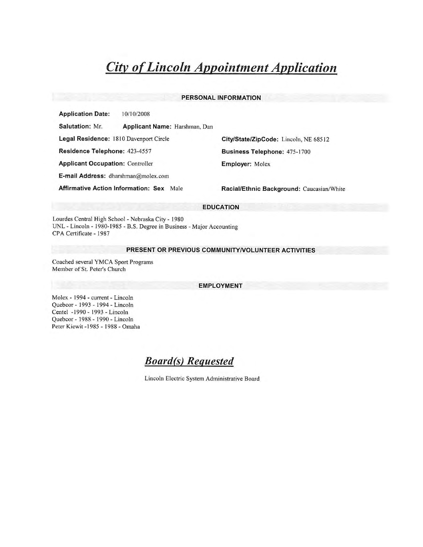#### PERSONAL INFORMATION

**Application Date:** 10/10/2008

Salutation: Mr. Applicant Name: Harshman, Dan

Legal Residence: 1810 Davenport Circle

Residence Telephone: 423-4557

**Applicant Occupation: Controller** 

E-mail Address: dharshman@molex.com

**Affirmative Action Information: Sex Male** 

City/State/ZipCode: Lincoln, NE 68512 **Business Telephone: 475-1700 Employer: Molex** 

Racial/Ethnic Background: Caucasian/White

#### **EDUCATION**

Lourdes Central High School - Nebraska City - 1980 UNL - Lincoln - 1980-1985 - B.S. Degree in Business - Major Accounting CPA Certificate - 1987

#### PRESENT OR PREVIOUS COMMUNITY/VOLUNTEER ACTIVITIES

Coached several YMCA Sport Programs Member of St. Peter's Church

#### **EMPLOYMENT**

Molex - 1994 - current - Lincoln Quebcor - 1993 - 1994 - Lincoln Centel -1990 - 1993 - Lincoln Quebcor - 1988 - 1990 - Lincoln Peter Kiewit -1985 - 1988 - Omaha

**Board(s)** Requested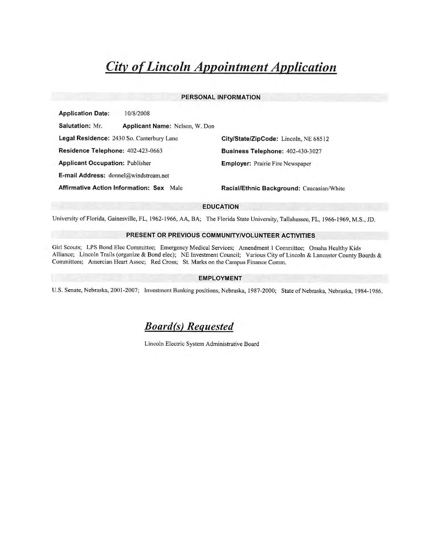#### PERSONAL INFORMATION

**Application Date:** 10/8/2008

Salutation: Mr. Applicant Name: Nelson, W. Don Legal Residence: 2430 So. Canterbury Lane Residence Telephone: 402-423-0663 **Applicant Occupation: Publisher** E-mail Address: donnel@windstream.net

**Affirmative Action Information: Sex Male** 

City/State/ZipCode: Lincoln, NE 68512 Business Telephone: 402-430-3027 **Employer:** Prairie Fire Newspaper

Racial/Ethnic Background: Caucasian/White

#### **EDUCATION**

University of Florida, Gainesville, FL, 1962-1966, AA, BA; The Florida State University, Tallahassee, FL, 1966-1969, M.S., JD.

#### PRESENT OR PREVIOUS COMMUNITY/VOLUNTEER ACTIVITIES

Girl Scouts; LPS Bond Elec Committee; Emergency Medical Services; Amendment 1 Committee; Omaha Healthy Kids Alliance; Lincoln Trails (organize & Bond elec); NE Investment Council; Various City of Lincoln & Lancaster County Boards & Committees; Amercian Heart Assoc; Red Cross; St. Marks on the Campus Finance Comm.

#### **EMPLOYMENT**

U.S. Senate, Nebraska, 2001-2007; Investment Banking positions, Nebraska, 1987-2000; State of Nebraska, Nebraska, 1984-1986.

**Board(s)** Requested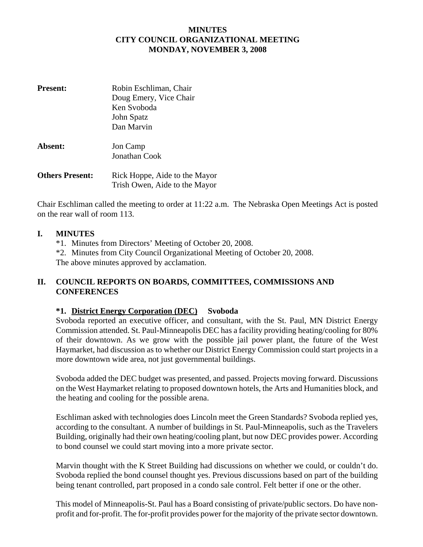### **MINUTES CITY COUNCIL ORGANIZATIONAL MEETING MONDAY, NOVEMBER 3, 2008**

| <b>Present:</b>        | Robin Eschliman, Chair<br>Doug Emery, Vice Chair<br>Ken Svoboda |  |  |
|------------------------|-----------------------------------------------------------------|--|--|
|                        | John Spatz<br>Dan Marvin                                        |  |  |
|                        |                                                                 |  |  |
| Absent:                | Jon Camp                                                        |  |  |
|                        | Jonathan Cook                                                   |  |  |
| <b>Others Present:</b> | Rick Hoppe, Aide to the Mayor                                   |  |  |
|                        | Trish Owen, Aide to the Mayor                                   |  |  |

Chair Eschliman called the meeting to order at 11:22 a.m. The Nebraska Open Meetings Act is posted on the rear wall of room 113.

### **I. MINUTES**

- \*1. Minutes from Directors' Meeting of October 20, 2008.
- \*2. Minutes from City Council Organizational Meeting of October 20, 2008.

The above minutes approved by acclamation.

### **II. COUNCIL REPORTS ON BOARDS, COMMITTEES, COMMISSIONS AND CONFERENCES**

### **\*1. District Energy Corporation (DEC) Svoboda**

Svoboda reported an executive officer, and consultant, with the St. Paul, MN District Energy Commission attended. St. Paul-Minneapolis DEC has a facility providing heating/cooling for 80% of their downtown. As we grow with the possible jail power plant, the future of the West Haymarket, had discussion as to whether our District Energy Commission could start projects in a more downtown wide area, not just governmental buildings.

Svoboda added the DEC budget was presented, and passed. Projects moving forward. Discussions on the West Haymarket relating to proposed downtown hotels, the Arts and Humanities block, and the heating and cooling for the possible arena.

Eschliman asked with technologies does Lincoln meet the Green Standards? Svoboda replied yes, according to the consultant. A number of buildings in St. Paul-Minneapolis, such as the Travelers Building, originally had their own heating/cooling plant, but now DEC provides power. According to bond counsel we could start moving into a more private sector.

Marvin thought with the K Street Building had discussions on whether we could, or couldn't do. Svoboda replied the bond counsel thought yes. Previous discussions based on part of the building being tenant controlled, part proposed in a condo sale control. Felt better if one or the other.

This model of Minneapolis-St. Paul has a Board consisting of private/public sectors. Do have nonprofit and for-profit. The for-profit provides power for the majority of the private sector downtown.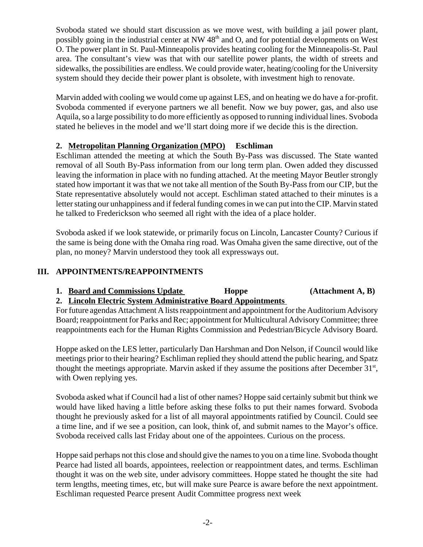Svoboda stated we should start discussion as we move west, with building a jail power plant, possibly going in the industrial center at NW 48<sup>th</sup> and O, and for potential developments on West O. The power plant in St. Paul-Minneapolis provides heating cooling for the Minneapolis-St. Paul area. The consultant's view was that with our satellite power plants, the width of streets and sidewalks, the possibilities are endless. We could provide water, heating/cooling for the University system should they decide their power plant is obsolete, with investment high to renovate.

Marvin added with cooling we would come up against LES, and on heating we do have a for-profit. Svoboda commented if everyone partners we all benefit. Now we buy power, gas, and also use Aquila, so a large possibility to do more efficiently as opposed to running individual lines. Svoboda stated he believes in the model and we'll start doing more if we decide this is the direction.

### **2. Metropolitan Planning Organization (MPO) Eschliman**

Eschliman attended the meeting at which the South By-Pass was discussed. The State wanted removal of all South By-Pass information from our long term plan. Owen added they discussed leaving the information in place with no funding attached. At the meeting Mayor Beutler strongly stated how important it was that we not take all mention of the South By-Pass from our CIP, but the State representative absolutely would not accept. Eschliman stated attached to their minutes is a letter stating our unhappiness and if federal funding comes in we can put into the CIP. Marvin stated he talked to Frederickson who seemed all right with the idea of a place holder.

Svoboda asked if we look statewide, or primarily focus on Lincoln, Lancaster County? Curious if the same is being done with the Omaha ring road. Was Omaha given the same directive, out of the plan, no money? Marvin understood they took all expressways out.

### **III. APPOINTMENTS/REAPPOINTMENTS**

**1. Board and Commissions Update Hoppe (Attachment A, B)** 

### **2. Lincoln Electric System Administrative Board Appointments**

For future agendas Attachment A lists reappointment and appointment for the Auditorium Advisory Board; reappointment for Parks and Rec; appointment for Multicultural Advisory Committee; three reappointments each for the Human Rights Commission and Pedestrian/Bicycle Advisory Board.

Hoppe asked on the LES letter, particularly Dan Harshman and Don Nelson, if Council would like meetings prior to their hearing? Eschliman replied they should attend the public hearing, and Spatz thought the meetings appropriate. Marvin asked if they assume the positions after December  $31<sup>st</sup>$ , with Owen replying yes.

Svoboda asked what if Council had a list of other names? Hoppe said certainly submit but think we would have liked having a little before asking these folks to put their names forward. Svoboda thought he previously asked for a list of all mayoral appointments ratified by Council. Could see a time line, and if we see a position, can look, think of, and submit names to the Mayor's office. Svoboda received calls last Friday about one of the appointees. Curious on the process.

Hoppe said perhaps not this close and should give the names to you on a time line. Svoboda thought Pearce had listed all boards, appointees, reelection or reappointment dates, and terms. Eschliman thought it was on the web site, under advisory committees. Hoppe stated he thought the site had term lengths, meeting times, etc, but will make sure Pearce is aware before the next appointment. Eschliman requested Pearce present Audit Committee progress next week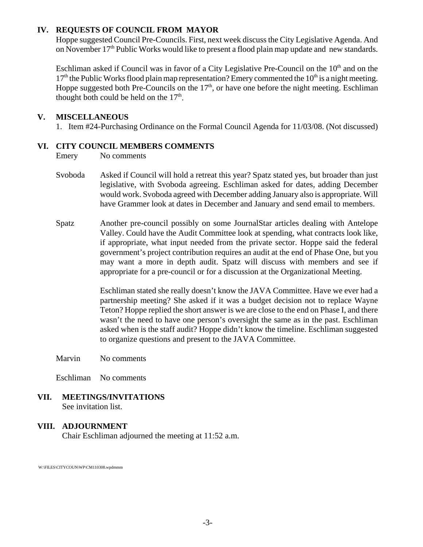### **IV. REQUESTS OF COUNCIL FROM MAYOR**

Hoppe suggested Council Pre-Councils. First, next week discuss the City Legislative Agenda. And on November  $17<sup>th</sup>$  Public Works would like to present a flood plain map update and new standards.

Eschliman asked if Council was in favor of a City Legislative Pre-Council on the  $10<sup>th</sup>$  and on the  $17<sup>th</sup>$  the Public Works flood plain map representation? Emery commented the  $10<sup>th</sup>$  is a night meeting. Hoppe suggested both Pre-Councils on the  $17<sup>th</sup>$ , or have one before the night meeting. Eschliman thought both could be held on the  $17<sup>th</sup>$ .

### **V. MISCELLANEOUS**

1. Item #24-Purchasing Ordinance on the Formal Council Agenda for 11/03/08. (Not discussed)

### **VI. CITY COUNCIL MEMBERS COMMENTS**

Emery No comments

- Svoboda Asked if Council will hold a retreat this year? Spatz stated yes, but broader than just legislative, with Svoboda agreeing. Eschliman asked for dates, adding December would work. Svoboda agreed with December adding January also is appropriate. Will have Grammer look at dates in December and January and send email to members.
- Spatz Another pre-council possibly on some JournalStar articles dealing with Antelope Valley. Could have the Audit Committee look at spending, what contracts look like, if appropriate, what input needed from the private sector. Hoppe said the federal government's project contribution requires an audit at the end of Phase One, but you may want a more in depth audit. Spatz will discuss with members and see if appropriate for a pre-council or for a discussion at the Organizational Meeting.

Eschliman stated she really doesn't know the JAVA Committee. Have we ever had a partnership meeting? She asked if it was a budget decision not to replace Wayne Teton? Hoppe replied the short answer is we are close to the end on Phase I, and there wasn't the need to have one person's oversight the same as in the past. Eschliman asked when is the staff audit? Hoppe didn't know the timeline. Eschliman suggested to organize questions and present to the JAVA Committee.

Marvin No comments

Eschliman No comments

**VII. MEETINGS/INVITATIONS** See invitation list.

### **VIII. ADJOURNMENT**

Chair Eschliman adjourned the meeting at 11:52 a.m.

W:\FILES\CITYCOUN\WP\CM110308.wpdmmm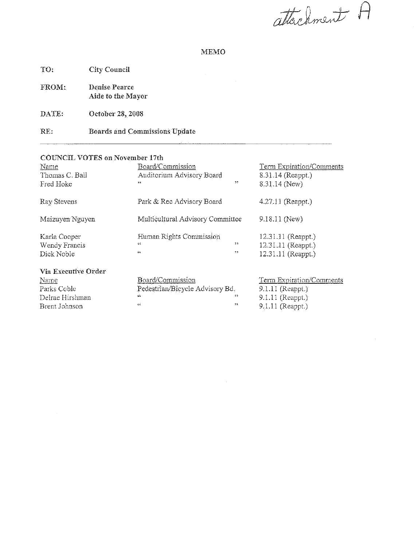attachment A

### **MEMO**

 $\bar{1}$ 

City Council TO:

Denise Pearce FROM: Aide to the Mayor

DATE: October 28, 2008

 $\bar{z}$ 

**Boards and Commissions Update** RE:

#### **COUNCIL VOTES on November 17th**

| Name<br>Thomas C. Ball<br>Fred Hoke | Board/Commission<br>Auditorium Advisory Board<br>44 | 33            | Term Expiration/Comments<br>8.31.14 (Reappt.)<br>8.31.14 (New). |
|-------------------------------------|-----------------------------------------------------|---------------|-----------------------------------------------------------------|
| Ray Stevens                         | Park & Rec Advisory Board                           |               | $4.27.11$ (Reappt.)                                             |
| Maizuyen Nguyen                     | Multicultural Advisory Committee                    |               | 9.18.11 (New)                                                   |
| Karla Cooper                        | Human Rights Commission                             |               | 12.31.11 (Reappt.)                                              |
| Wendy Francis                       | 44                                                  | 22.           | 12.31.11 (Reappt.)                                              |
| Dick Noble                          | 收益                                                  | $\rightarrow$ | $12.31.11$ (Reappt.)                                            |
| Via Executive Order                 |                                                     |               |                                                                 |
| Name                                | Board/Commission                                    |               | Term Expiration/Comments                                        |
| Parks Coble                         | Pedestrian/Bicycle Advisory Bd.                     |               | $9,1.11$ (Reappt.)                                              |
| Delrae Hirshman                     | Gξ.                                                 | $^{\circ}$    | 9.1.11 (Reappt.)                                                |
| Brent Johnson                       | 6E                                                  | 22            | 9.1.11 (Reappt.)                                                |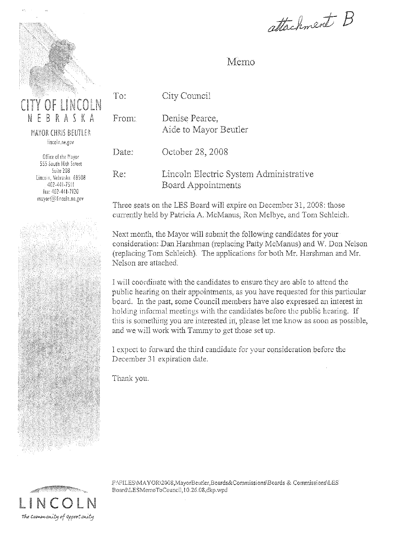

NEBRASKA MAYOR CHRIS BEUTLER

To:

lincoln.ne.gov

Office of the Mayor 555 South 10th Street Suite 208 Lincoin, Nebraska 68508 407-441-7511 fax: 402-441-7120 mayor@lincoln.ne.gov



### Memo

City Council

From: Denise Pearce. Aide to Mayor Beutler

Date: October 28, 2008

Re: Lincoln Electric System Administrative Board Appointments

Three seats on the LES Board will expire on December 31, 2008: those currently held by Patricia A. McManus, Ron Melbye, and Tom Schleich.

Next month, the Mayor will submit the following candidates for your consideration: Dan Harshman (replacing Patty McManus) and W. Don Nelson (replacing Tom Schleich). The applications for both Mr. Harshman and Mr. Nelson are attached.

I will coordinate with the candidates to ensure they are able to attend the public hearing on their appointments, as you have requested for this particular board. In the past, some Council members have also expressed an interest in holding informal meetings with the candidates before the public hearing. If this is something you are interested in, please let me know as soon as possible, and we will work with Tammy to get those set up.

I expect to forward the third candidate for your consideration before the December 31 expiration date.

Thank you.



FAFILES\MAYOR\2008,MayorBeutler,Boards&Commissions\Boards & Commissions\LES\ Board\LESMemoToCouncil, 10.26.08,dkp.wpd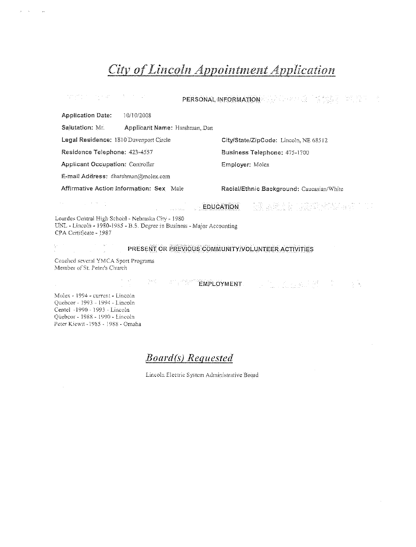| 일하면서 이 사람들이 많은 사람들이 있다.                                                                                                                                |                                                                                                                                                                                                                               |                                       | PERSONAL INFORMATION AND AND AN ALL AND THE TELL THAT IS A REPORT OF THE TELL AND IN                                |  |  |  |
|--------------------------------------------------------------------------------------------------------------------------------------------------------|-------------------------------------------------------------------------------------------------------------------------------------------------------------------------------------------------------------------------------|---------------------------------------|---------------------------------------------------------------------------------------------------------------------|--|--|--|
| <b>Application Date:</b><br>10/10/2008                                                                                                                 |                                                                                                                                                                                                                               |                                       |                                                                                                                     |  |  |  |
| Salutation: Mr.                                                                                                                                        | Applicant Name: Harshman, Dan                                                                                                                                                                                                 |                                       |                                                                                                                     |  |  |  |
| Legal Residence: 1810 Davenport Circle                                                                                                                 |                                                                                                                                                                                                                               | City/State/ZipCode: Lincoln, NE 68512 |                                                                                                                     |  |  |  |
| Residence Telephone: 423-4557                                                                                                                          |                                                                                                                                                                                                                               | Business Telephone: 475-1700          |                                                                                                                     |  |  |  |
| Applicant Occupation: Controller                                                                                                                       |                                                                                                                                                                                                                               | Employer: Molex                       |                                                                                                                     |  |  |  |
| E-mail Address: dharshman@molex.com                                                                                                                    |                                                                                                                                                                                                                               |                                       |                                                                                                                     |  |  |  |
| Affirmative Action Information: Sex Male                                                                                                               |                                                                                                                                                                                                                               |                                       | Racial/Ethnic Background: Caucasian/White                                                                           |  |  |  |
| and the company of the con-                                                                                                                            | EDUCATION                                                                                                                                                                                                                     |                                       | - 1992年 1993年 1993年 1月13日 1月15日<br>1993年 1月10日 1月11日 1月12日 1月12日 1月12日 1月12日 1月12日 1月12日 1月12日 1月12日 1月11日 1月11日 1月 |  |  |  |
| Lourdes Central High School - Nebraska City - 1980<br>UNL - Lincoln - 1980-1985 - B.S. Degree in Business - Major Accounting<br>CPA Certificate - 1987 |                                                                                                                                                                                                                               |                                       |                                                                                                                     |  |  |  |
|                                                                                                                                                        | PRESENT OR PREVIOUS COMMUNITY/VOLUNTEER ACTIVITIES                                                                                                                                                                            |                                       |                                                                                                                     |  |  |  |
| Coached several YMCA Sport Programs<br>Member of St: Peter's Church                                                                                    |                                                                                                                                                                                                                               |                                       |                                                                                                                     |  |  |  |
|                                                                                                                                                        | in the second the transmit of the property of the property of the property of the property of the property of the property of the property of the property of the property of the property of the property of the property of |                                       |                                                                                                                     |  |  |  |
| Molex - 1994 - current - Lincoln<br>Quebcor - 1993 - 1994 - Lincoln                                                                                    |                                                                                                                                                                                                                               |                                       |                                                                                                                     |  |  |  |

Centel -1990 - 1993 - Lincoln Quebcor - 1988 - 1990 - Lincoln Peter Kiewit - 1985 - 1988 - Omaha

 $\label{eq:2.1} \mu_{\rm{max}} = \mu_{\rm{max}} = \frac{1}{\mu_{\rm{max}}}$ 

**Board(s)** Requested